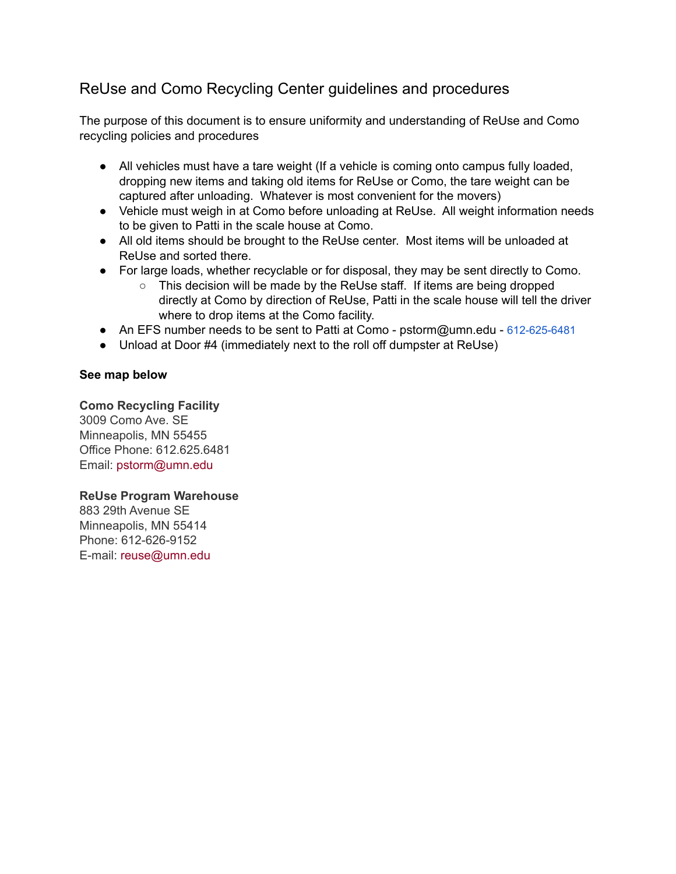## ReUse and Como Recycling Center guidelines and procedures

The purpose of this document is to ensure uniformity and understanding of ReUse and Como recycling policies and procedures

- All vehicles must have a tare weight (If a vehicle is coming onto campus fully loaded, dropping new items and taking old items for ReUse or Como, the tare weight can be captured after unloading. Whatever is most convenient for the movers)
- Vehicle must weigh in at Como before unloading at ReUse. All weight information needs to be given to Patti in the scale house at Como.
- All old items should be brought to the ReUse center. Most items will be unloaded at ReUse and sorted there.
- For large loads, whether recyclable or for disposal, they may be sent directly to Como.
	- This decision will be made by the ReUse staff. If items are being dropped directly at Como by direction of ReUse, Patti in the scale house will tell the driver where to drop items at the Como facility.
- An EFS number needs to be sent to Patti at Como pstorm@umn.edu 612-625-6481
- Unload at Door #4 (immediately next to the roll off dumpster at ReUse)

## **See map below**

**Como Recycling Facility** 3009 Como Ave. SE Minneapolis, MN 55455 Office Phone: 612.625.6481 Email: pstorm@umn.edu

## **ReUse Program Warehouse**

883 29th Avenue SE Minneapolis, MN 55414 Phone: 612-626-9152 E-mail: reuse@umn.edu